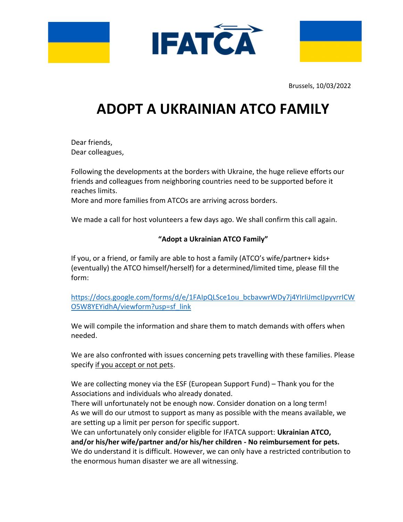





Brussels, 10/03/2022

## **ADOPT A UKRAINIAN ATCO FAMILY**

Dear friends, Dear colleagues,

Following the developments at the borders with Ukraine, the huge relieve efforts our friends and colleagues from neighboring countries need to be supported before it reaches limits.

More and more families from ATCOs are arriving across borders.

We made a call for host volunteers a few days ago. We shall confirm this call again.

## **"Adopt a Ukrainian ATCO Family"**

If you, or a friend, or family are able to host a family (ATCO's wife/partner+ kids+ (eventually) the ATCO himself/herself) for a determined/limited time, please fill the form:

[https://docs.google.com/forms/d/e/1FAIpQLSce1ou\\_bcbavwrWDy7j4YIrIiJmcIJpyvrrICW](https://docs.google.com/forms/d/e/1FAIpQLSce1ou_bcbavwrWDy7j4YIrIiJmcIJpyvrrICWO5W8YEYidhA/viewform?usp=sf_link) [O5W8YEYidhA/viewform?usp=sf\\_link](https://docs.google.com/forms/d/e/1FAIpQLSce1ou_bcbavwrWDy7j4YIrIiJmcIJpyvrrICWO5W8YEYidhA/viewform?usp=sf_link)

We will compile the information and share them to match demands with offers when needed.

We are also confronted with issues concerning pets travelling with these families. Please specify if you accept or not pets.

We are collecting money via the ESF (European Support Fund) – Thank you for the Associations and individuals who already donated.

There will unfortunately not be enough now. Consider donation on a long term! As we will do our utmost to support as many as possible with the means available, we are setting up a limit per person for specific support.

We can unfortunately only consider eligible for IFATCA support: **Ukrainian ATCO, and/or his/her wife/partner and/or his/her children - No reimbursement for pets.** We do understand it is difficult. However, we can only have a restricted contribution to the enormous human disaster we are all witnessing.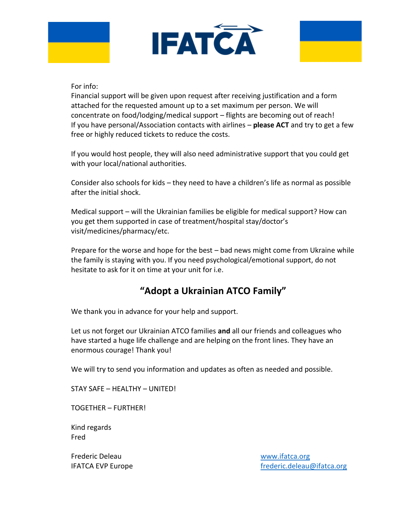



#### For info:

Financial support will be given upon request after receiving justification and a form attached for the requested amount up to a set maximum per person. We will concentrate on food/lodging/medical support – flights are becoming out of reach! If you have personal/Association contacts with airlines – **please ACT** and try to get a few free or highly reduced tickets to reduce the costs.

If you would host people, they will also need administrative support that you could get with your local/national authorities.

Consider also schools for kids – they need to have a children's life as normal as possible after the initial shock.

Medical support – will the Ukrainian families be eligible for medical support? How can you get them supported in case of treatment/hospital stay/doctor's visit/medicines/pharmacy/etc.

Prepare for the worse and hope for the best – bad news might come from Ukraine while the family is staying with you. If you need psychological/emotional support, do not hesitate to ask for it on time at your unit for i.e.

## **"Adopt a Ukrainian ATCO Family"**

We thank you in advance for your help and support.

Let us not forget our Ukrainian ATCO families **and** all our friends and colleagues who have started a huge life challenge and are helping on the front lines. They have an enormous courage! Thank you!

We will try to send you information and updates as often as needed and possible.

STAY SAFE – HEALTHY – UNITED!

TOGETHER – FURTHER!

Kind regards Fred

Frederic Deleau [www.ifatca.org](http://www.ifatca.org/)

IFATCA EVP Europe **[frederic.deleau@ifatca.org](mailto:frederic.deleau@ifatca.org)**